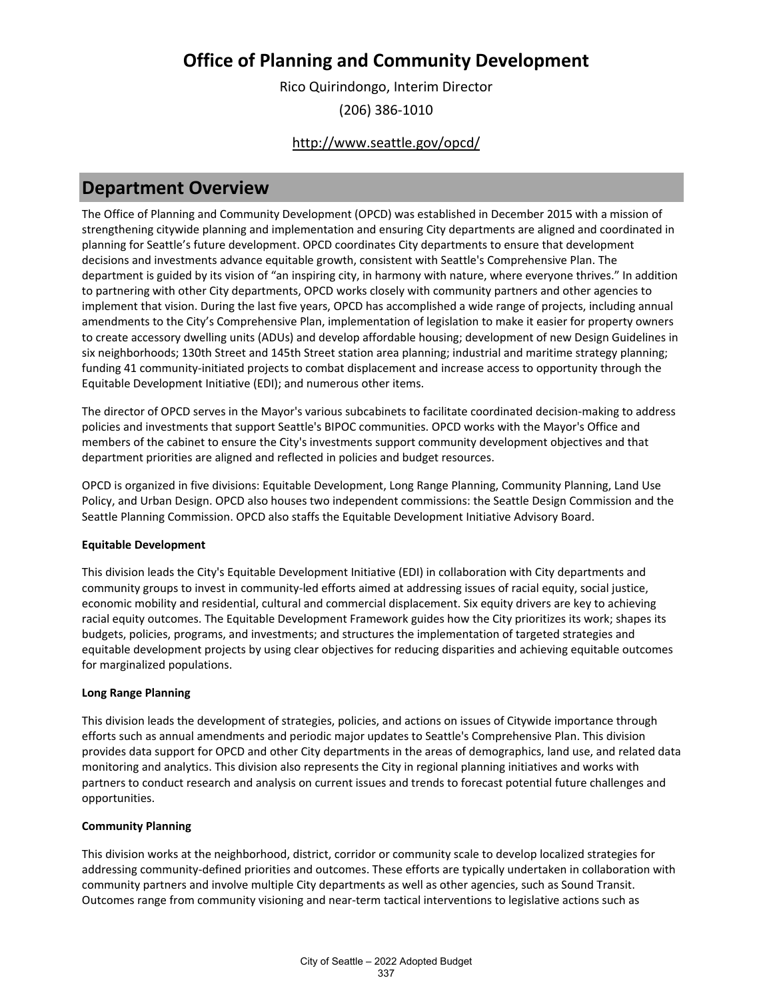Rico Quirindongo, Interim Director (206) 386-1010

### <http://www.seattle.gov/opcd/>

### **Department Overview**

The Office of Planning and Community Development (OPCD) was established in December 2015 with a mission of strengthening citywide planning and implementation and ensuring City departments are aligned and coordinated in planning for Seattle's future development. OPCD coordinates City departments to ensure that development decisions and investments advance equitable growth, consistent with Seattle's Comprehensive Plan. The department is guided by its vision of "an inspiring city, in harmony with nature, where everyone thrives." In addition to partnering with other City departments, OPCD works closely with community partners and other agencies to implement that vision. During the last five years, OPCD has accomplished a wide range of projects, including annual amendments to the City's Comprehensive Plan, implementation of legislation to make it easier for property owners to create accessory dwelling units (ADUs) and develop affordable housing; development of new Design Guidelines in six neighborhoods; 130th Street and 145th Street station area planning; industrial and maritime strategy planning; funding 41 community-initiated projects to combat displacement and increase access to opportunity through the Equitable Development Initiative (EDI); and numerous other items.

The director of OPCD serves in the Mayor's various subcabinets to facilitate coordinated decision-making to address policies and investments that support Seattle's BIPOC communities. OPCD works with the Mayor's Office and members of the cabinet to ensure the City's investments support community development objectives and that department priorities are aligned and reflected in policies and budget resources.

OPCD is organized in five divisions: Equitable Development, Long Range Planning, Community Planning, Land Use Policy, and Urban Design. OPCD also houses two independent commissions: the Seattle Design Commission and the Seattle Planning Commission. OPCD also staffs the Equitable Development Initiative Advisory Board.

#### **Equitable Development**

This division leads the City's Equitable Development Initiative (EDI) in collaboration with City departments and community groups to invest in community-led efforts aimed at addressing issues of racial equity, social justice, economic mobility and residential, cultural and commercial displacement. Six equity drivers are key to achieving racial equity outcomes. The Equitable Development Framework guides how the City prioritizes its work; shapes its budgets, policies, programs, and investments; and structures the implementation of targeted strategies and equitable development projects by using clear objectives for reducing disparities and achieving equitable outcomes for marginalized populations.

#### **Long Range Planning**

This division leads the development of strategies, policies, and actions on issues of Citywide importance through efforts such as annual amendments and periodic major updates to Seattle's Comprehensive Plan. This division provides data support for OPCD and other City departments in the areas of demographics, land use, and related data monitoring and analytics. This division also represents the City in regional planning initiatives and works with partners to conduct research and analysis on current issues and trends to forecast potential future challenges and opportunities.

#### **Community Planning**

This division works at the neighborhood, district, corridor or community scale to develop localized strategies for addressing community-defined priorities and outcomes. These efforts are typically undertaken in collaboration with community partners and involve multiple City departments as well as other agencies, such as Sound Transit. Outcomes range from community visioning and near-term tactical interventions to legislative actions such as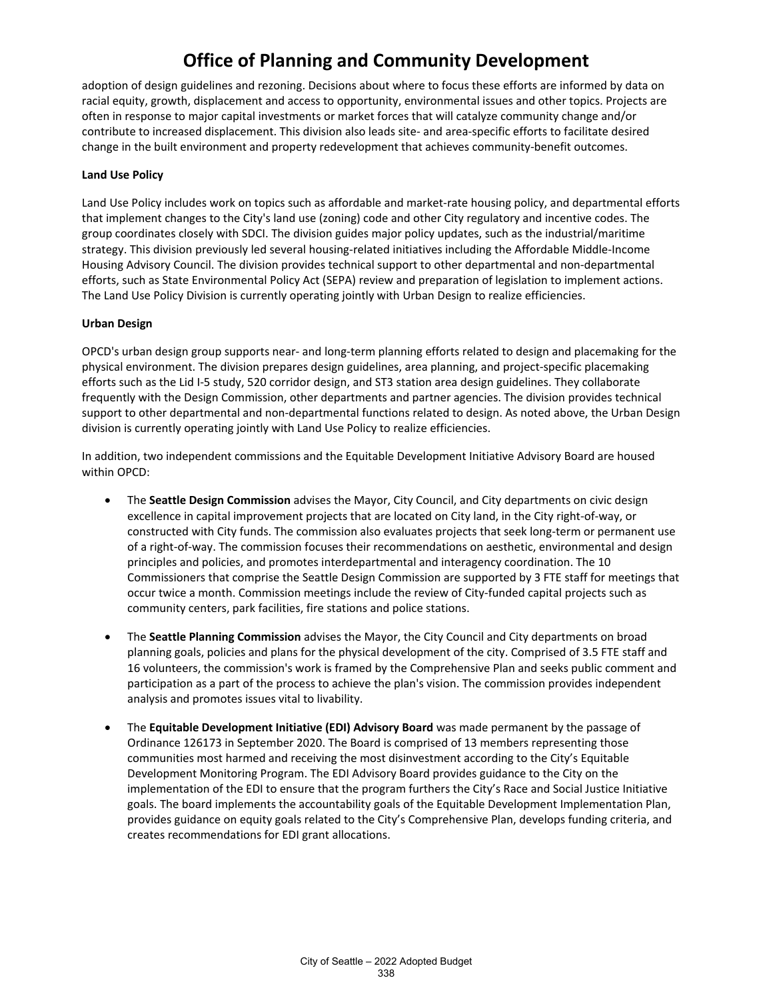adoption of design guidelines and rezoning. Decisions about where to focus these efforts are informed by data on racial equity, growth, displacement and access to opportunity, environmental issues and other topics. Projects are often in response to major capital investments or market forces that will catalyze community change and/or contribute to increased displacement. This division also leads site- and area-specific efforts to facilitate desired change in the built environment and property redevelopment that achieves community-benefit outcomes.

#### **Land Use Policy**

Land Use Policy includes work on topics such as affordable and market-rate housing policy, and departmental efforts that implement changes to the City's land use (zoning) code and other City regulatory and incentive codes. The group coordinates closely with SDCI. The division guides major policy updates, such as the industrial/maritime strategy. This division previously led several housing-related initiatives including the Affordable Middle-Income Housing Advisory Council. The division provides technical support to other departmental and non-departmental efforts, such as State Environmental Policy Act (SEPA) review and preparation of legislation to implement actions. The Land Use Policy Division is currently operating jointly with Urban Design to realize efficiencies.

#### **Urban Design**

OPCD's urban design group supports near- and long-term planning efforts related to design and placemaking for the physical environment. The division prepares design guidelines, area planning, and project-specific placemaking efforts such as the Lid I-5 study, 520 corridor design, and ST3 station area design guidelines. They collaborate frequently with the Design Commission, other departments and partner agencies. The division provides technical support to other departmental and non-departmental functions related to design. As noted above, the Urban Design division is currently operating jointly with Land Use Policy to realize efficiencies.

In addition, two independent commissions and the Equitable Development Initiative Advisory Board are housed within OPCD:

- The **Seattle Design Commission** advises the Mayor, City Council, and City departments on civic design excellence in capital improvement projects that are located on City land, in the City right-of-way, or constructed with City funds. The commission also evaluates projects that seek long-term or permanent use of a right-of-way. The commission focuses their recommendations on aesthetic, environmental and design principles and policies, and promotes interdepartmental and interagency coordination. The 10 Commissioners that comprise the Seattle Design Commission are supported by 3 FTE staff for meetings that occur twice a month. Commission meetings include the review of City-funded capital projects such as community centers, park facilities, fire stations and police stations.
- The **Seattle Planning Commission** advises the Mayor, the City Council and City departments on broad planning goals, policies and plans for the physical development of the city. Comprised of 3.5 FTE staff and 16 volunteers, the commission's work is framed by the Comprehensive Plan and seeks public comment and participation as a part of the process to achieve the plan's vision. The commission provides independent analysis and promotes issues vital to livability.
- The **Equitable Development Initiative (EDI) Advisory Board** was made permanent by the passage of Ordinance 126173 in September 2020. The Board is comprised of 13 members representing those communities most harmed and receiving the most disinvestment according to the City's Equitable Development Monitoring Program. The EDI Advisory Board provides guidance to the City on the implementation of the EDI to ensure that the program furthers the City's Race and Social Justice Initiative goals. The board implements the accountability goals of the Equitable Development Implementation Plan, provides guidance on equity goals related to the City's Comprehensive Plan, develops funding criteria, and creates recommendations for EDI grant allocations.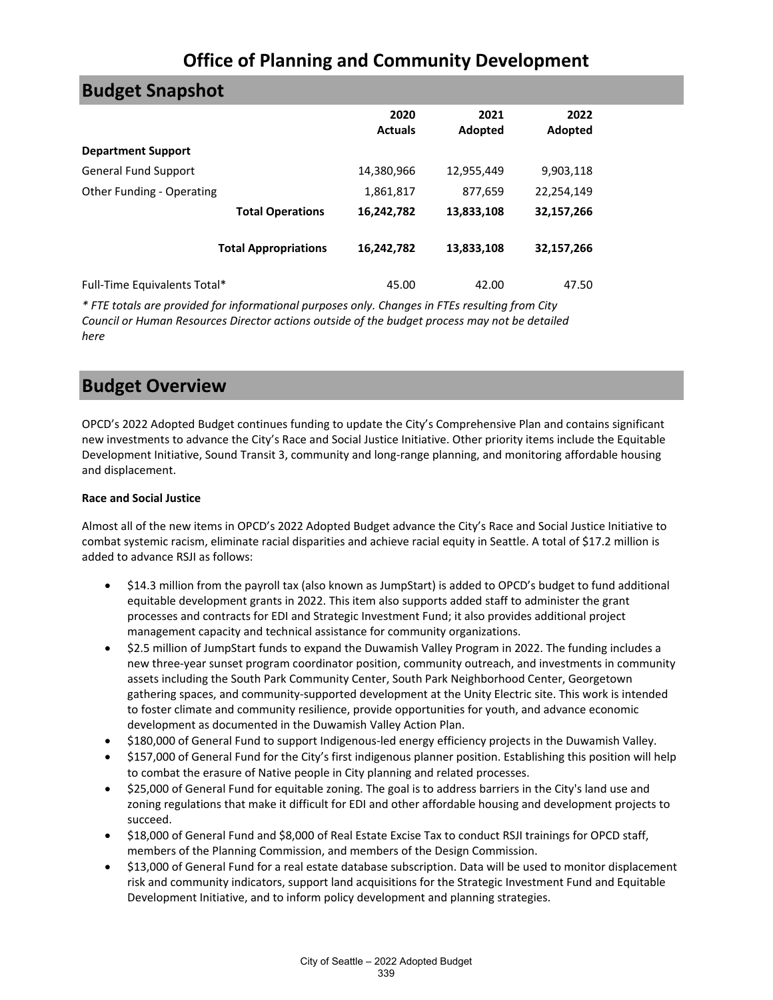| <b>Budget Snapshot</b>       |                             |                        |                 |                 |
|------------------------------|-----------------------------|------------------------|-----------------|-----------------|
|                              |                             | 2020<br><b>Actuals</b> | 2021<br>Adopted | 2022<br>Adopted |
| <b>Department Support</b>    |                             |                        |                 |                 |
| <b>General Fund Support</b>  |                             | 14,380,966             | 12,955,449      | 9,903,118       |
| Other Funding - Operating    |                             | 1,861,817              | 877,659         | 22,254,149      |
|                              | <b>Total Operations</b>     | 16,242,782             | 13,833,108      | 32,157,266      |
|                              | <b>Total Appropriations</b> | 16,242,782             | 13,833,108      | 32,157,266      |
| Full-Time Equivalents Total* |                             | 45.00                  | 42.00           | 47.50           |

*\* FTE totals are provided for informational purposes only. Changes in FTEs resulting from City Council or Human Resources Director actions outside of the budget process may not be detailed here*

### **Budget Overview**

OPCD's 2022 Adopted Budget continues funding to update the City's Comprehensive Plan and contains significant new investments to advance the City's Race and Social Justice Initiative. Other priority items include the Equitable Development Initiative, Sound Transit 3, community and long-range planning, and monitoring affordable housing and displacement.

#### **Race and Social Justice**

Almost all of the new items in OPCD's 2022 Adopted Budget advance the City's Race and Social Justice Initiative to combat systemic racism, eliminate racial disparities and achieve racial equity in Seattle. A total of \$17.2 million is added to advance RSJI as follows:

- \$14.3 million from the payroll tax (also known as JumpStart) is added to OPCD's budget to fund additional equitable development grants in 2022. This item also supports added staff to administer the grant processes and contracts for EDI and Strategic Investment Fund; it also provides additional project management capacity and technical assistance for community organizations.
- \$2.5 million of JumpStart funds to expand the Duwamish Valley Program in 2022. The funding includes a new three-year sunset program coordinator position, community outreach, and investments in community assets including the South Park Community Center, South Park Neighborhood Center, Georgetown gathering spaces, and community-supported development at the Unity Electric site. This work is intended to foster climate and community resilience, provide opportunities for youth, and advance economic development as documented in the Duwamish Valley Action Plan.
- \$180,000 of General Fund to support Indigenous-led energy efficiency projects in the Duwamish Valley.
- \$157,000 of General Fund for the City's first indigenous planner position. Establishing this position will help to combat the erasure of Native people in City planning and related processes.
- \$25,000 of General Fund for equitable zoning. The goal is to address barriers in the City's land use and zoning regulations that make it difficult for EDI and other affordable housing and development projects to succeed.
- \$18,000 of General Fund and \$8,000 of Real Estate Excise Tax to conduct RSJI trainings for OPCD staff, members of the Planning Commission, and members of the Design Commission.
- \$13,000 of General Fund for a real estate database subscription. Data will be used to monitor displacement risk and community indicators, support land acquisitions for the Strategic Investment Fund and Equitable Development Initiative, and to inform policy development and planning strategies.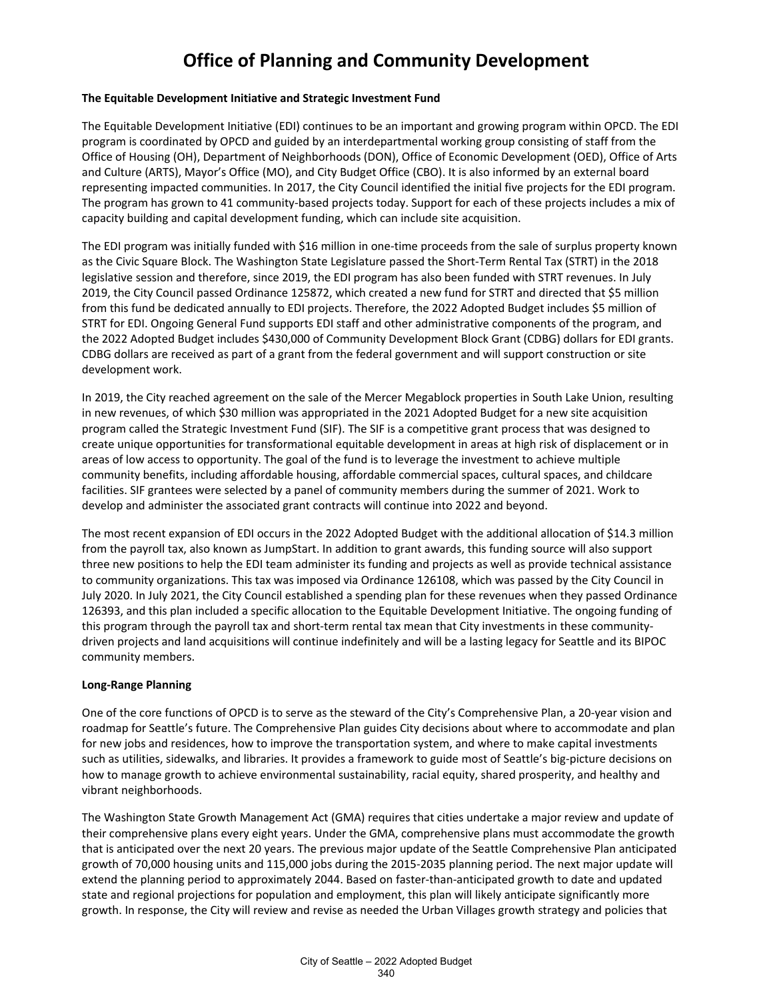#### **The Equitable Development Initiative and Strategic Investment Fund**

The Equitable Development Initiative (EDI) continues to be an important and growing program within OPCD. The EDI program is coordinated by OPCD and guided by an interdepartmental working group consisting of staff from the Office of Housing (OH), Department of Neighborhoods (DON), Office of Economic Development (OED), Office of Arts and Culture (ARTS), Mayor's Office (MO), and City Budget Office (CBO). It is also informed by an external board representing impacted communities. In 2017, the City Council identified the initial five projects for the EDI program. The program has grown to 41 community-based projects today. Support for each of these projects includes a mix of capacity building and capital development funding, which can include site acquisition.

The EDI program was initially funded with \$16 million in one-time proceeds from the sale of surplus property known as the Civic Square Block. The Washington State Legislature passed the Short-Term Rental Tax (STRT) in the 2018 legislative session and therefore, since 2019, the EDI program has also been funded with STRT revenues. In July 2019, the City Council passed Ordinance 125872, which created a new fund for STRT and directed that \$5 million from this fund be dedicated annually to EDI projects. Therefore, the 2022 Adopted Budget includes \$5 million of STRT for EDI. Ongoing General Fund supports EDI staff and other administrative components of the program, and the 2022 Adopted Budget includes \$430,000 of Community Development Block Grant (CDBG) dollars for EDI grants. CDBG dollars are received as part of a grant from the federal government and will support construction or site development work.

In 2019, the City reached agreement on the sale of the Mercer Megablock properties in South Lake Union, resulting in new revenues, of which \$30 million was appropriated in the 2021 Adopted Budget for a new site acquisition program called the Strategic Investment Fund (SIF). The SIF is a competitive grant process that was designed to create unique opportunities for transformational equitable development in areas at high risk of displacement or in areas of low access to opportunity. The goal of the fund is to leverage the investment to achieve multiple community benefits, including affordable housing, affordable commercial spaces, cultural spaces, and childcare facilities. SIF grantees were selected by a panel of community members during the summer of 2021. Work to develop and administer the associated grant contracts will continue into 2022 and beyond.

The most recent expansion of EDI occurs in the 2022 Adopted Budget with the additional allocation of \$14.3 million from the payroll tax, also known as JumpStart. In addition to grant awards, this funding source will also support three new positions to help the EDI team administer its funding and projects as well as provide technical assistance to community organizations. This tax was imposed via Ordinance 126108, which was passed by the City Council in July 2020. In July 2021, the City Council established a spending plan for these revenues when they passed Ordinance 126393, and this plan included a specific allocation to the Equitable Development Initiative. The ongoing funding of this program through the payroll tax and short-term rental tax mean that City investments in these communitydriven projects and land acquisitions will continue indefinitely and will be a lasting legacy for Seattle and its BIPOC community members.

#### **Long-Range Planning**

One of the core functions of OPCD is to serve as the steward of the City's Comprehensive Plan, a 20-year vision and roadmap for Seattle's future. The Comprehensive Plan guides City decisions about where to accommodate and plan for new jobs and residences, how to improve the transportation system, and where to make capital investments such as utilities, sidewalks, and libraries. It provides a framework to guide most of Seattle's big-picture decisions on how to manage growth to achieve environmental sustainability, racial equity, shared prosperity, and healthy and vibrant neighborhoods.

The Washington State Growth Management Act (GMA) requires that cities undertake a major review and update of their comprehensive plans every eight years. Under the GMA, comprehensive plans must accommodate the growth that is anticipated over the next 20 years. The previous major update of the Seattle Comprehensive Plan anticipated growth of 70,000 housing units and 115,000 jobs during the 2015-2035 planning period. The next major update will extend the planning period to approximately 2044. Based on faster-than-anticipated growth to date and updated state and regional projections for population and employment, this plan will likely anticipate significantly more growth. In response, the City will review and revise as needed the Urban Villages growth strategy and policies that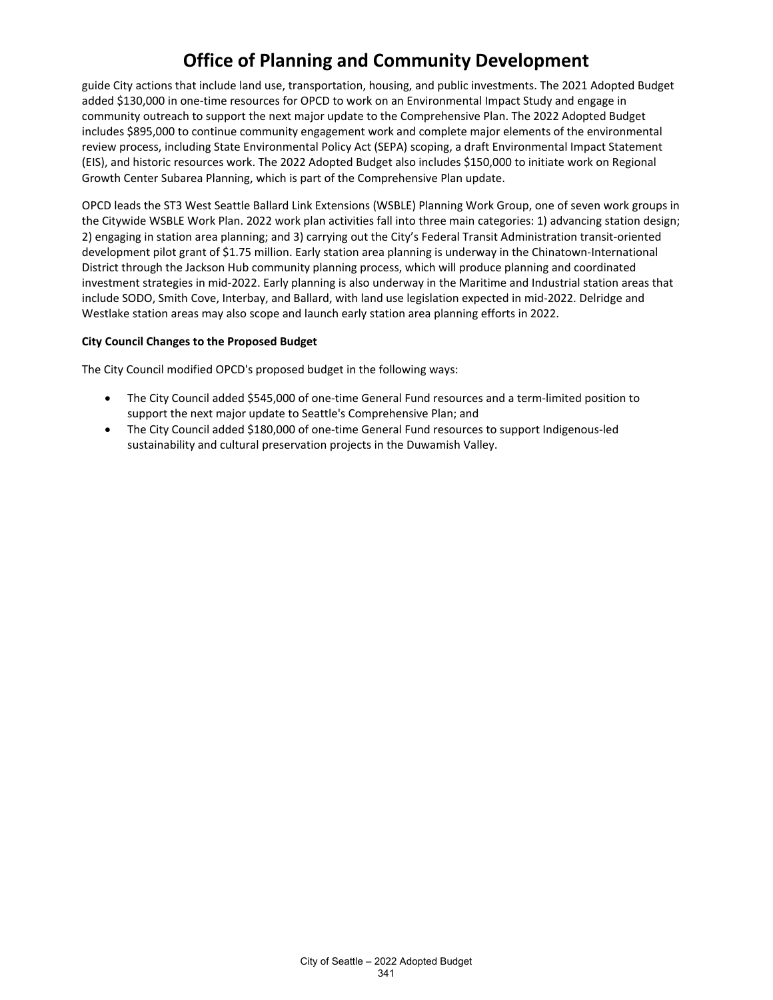guide City actions that include land use, transportation, housing, and public investments. The 2021 Adopted Budget added \$130,000 in one-time resources for OPCD to work on an Environmental Impact Study and engage in community outreach to support the next major update to the Comprehensive Plan. The 2022 Adopted Budget includes \$895,000 to continue community engagement work and complete major elements of the environmental review process, including State Environmental Policy Act (SEPA) scoping, a draft Environmental Impact Statement (EIS), and historic resources work. The 2022 Adopted Budget also includes \$150,000 to initiate work on Regional Growth Center Subarea Planning, which is part of the Comprehensive Plan update.

OPCD leads the ST3 West Seattle Ballard Link Extensions (WSBLE) Planning Work Group, one of seven work groups in the Citywide WSBLE Work Plan. 2022 work plan activities fall into three main categories: 1) advancing station design; 2) engaging in station area planning; and 3) carrying out the City's Federal Transit Administration transit-oriented development pilot grant of \$1.75 million. Early station area planning is underway in the Chinatown-International District through the Jackson Hub community planning process, which will produce planning and coordinated investment strategies in mid-2022. Early planning is also underway in the Maritime and Industrial station areas that include SODO, Smith Cove, Interbay, and Ballard, with land use legislation expected in mid-2022. Delridge and Westlake station areas may also scope and launch early station area planning efforts in 2022.

#### **City Council Changes to the Proposed Budget**

The City Council modified OPCD's proposed budget in the following ways:

- The City Council added \$545,000 of one-time General Fund resources and a term-limited position to support the next major update to Seattle's Comprehensive Plan; and
- The City Council added \$180,000 of one-time General Fund resources to support Indigenous-led sustainability and cultural preservation projects in the Duwamish Valley.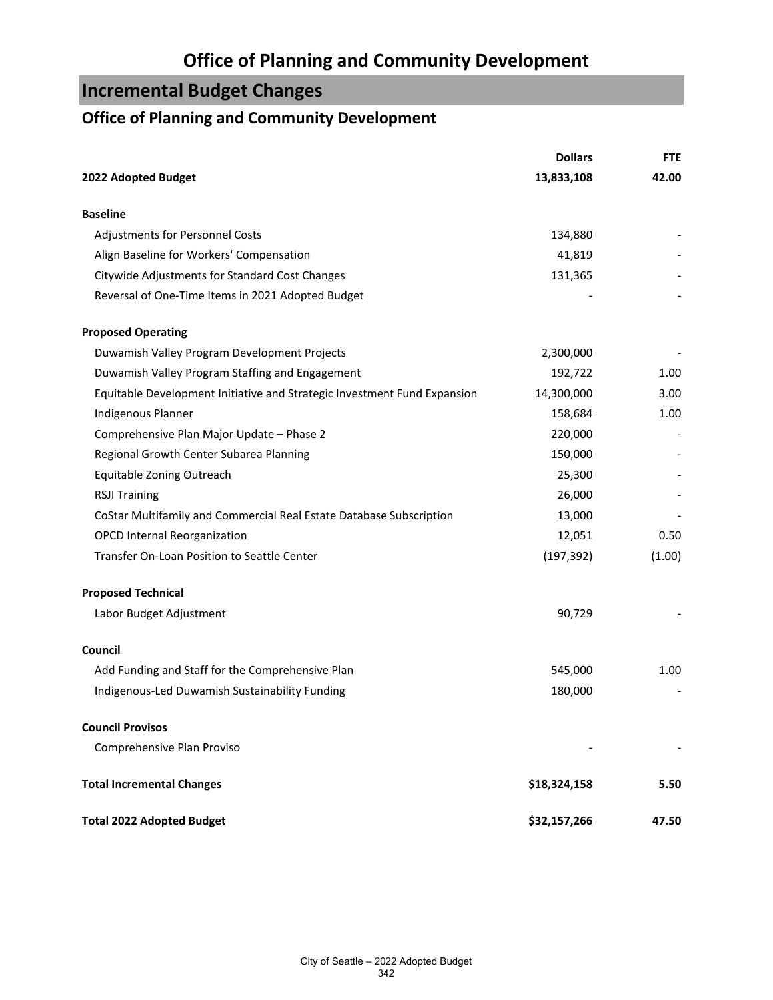# **Incremental Budget Changes**

### **Office of Planning and Community Development**

|                                                                          | <b>Dollars</b> | <b>FTE</b> |
|--------------------------------------------------------------------------|----------------|------------|
| 2022 Adopted Budget                                                      | 13,833,108     | 42.00      |
| <b>Baseline</b>                                                          |                |            |
| Adjustments for Personnel Costs                                          | 134,880        |            |
| Align Baseline for Workers' Compensation                                 | 41,819         |            |
| Citywide Adjustments for Standard Cost Changes                           | 131,365        |            |
| Reversal of One-Time Items in 2021 Adopted Budget                        |                |            |
| <b>Proposed Operating</b>                                                |                |            |
| Duwamish Valley Program Development Projects                             | 2,300,000      |            |
| Duwamish Valley Program Staffing and Engagement                          | 192,722        | 1.00       |
| Equitable Development Initiative and Strategic Investment Fund Expansion | 14,300,000     | 3.00       |
| Indigenous Planner                                                       | 158,684        | 1.00       |
| Comprehensive Plan Major Update - Phase 2                                | 220,000        |            |
| Regional Growth Center Subarea Planning                                  | 150,000        |            |
| Equitable Zoning Outreach                                                | 25,300         |            |
| <b>RSJI Training</b>                                                     | 26,000         |            |
| CoStar Multifamily and Commercial Real Estate Database Subscription      | 13,000         |            |
| <b>OPCD Internal Reorganization</b>                                      | 12,051         | 0.50       |
| Transfer On-Loan Position to Seattle Center                              | (197, 392)     | (1.00)     |
| <b>Proposed Technical</b>                                                |                |            |
| Labor Budget Adjustment                                                  | 90,729         |            |
| Council                                                                  |                |            |
| Add Funding and Staff for the Comprehensive Plan                         | 545,000        | 1.00       |
| Indigenous-Led Duwamish Sustainability Funding                           | 180,000        |            |
| <b>Council Provisos</b>                                                  |                |            |
| Comprehensive Plan Proviso                                               |                |            |
| <b>Total Incremental Changes</b>                                         | \$18,324,158   | 5.50       |
| <b>Total 2022 Adopted Budget</b>                                         | \$32,157,266   | 47.50      |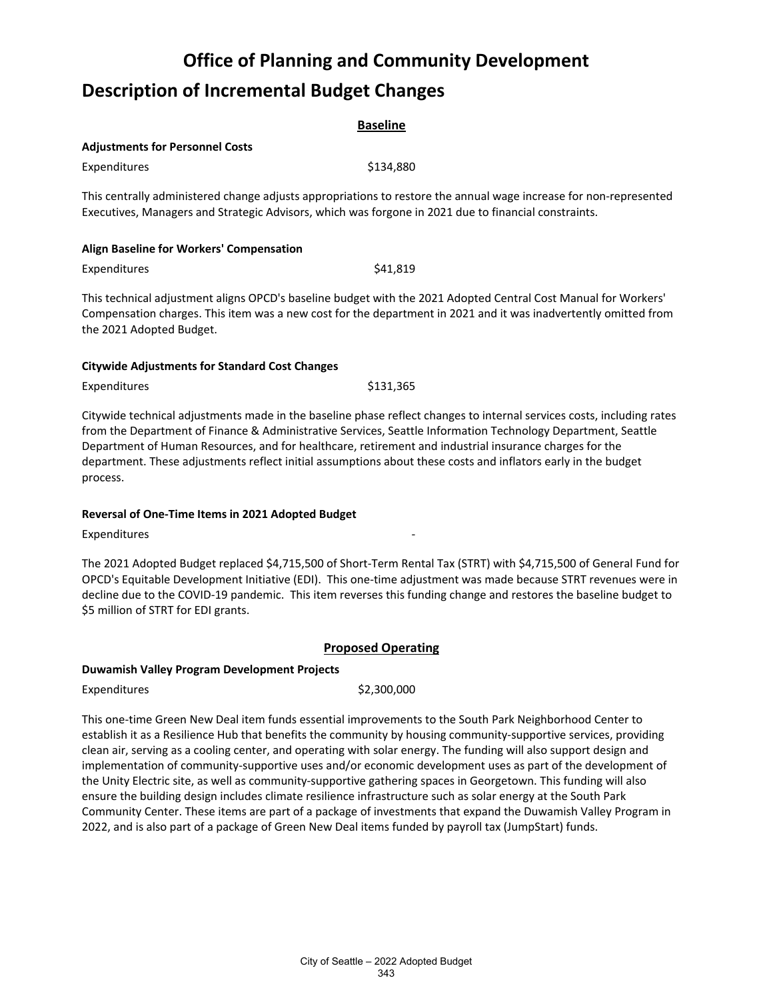# **Office of Planning and Community Development Description of Incremental Budget Changes**

| <b>Baseline</b>                                                                                                                                                                                                           |           |  |  |
|---------------------------------------------------------------------------------------------------------------------------------------------------------------------------------------------------------------------------|-----------|--|--|
| <b>Adjustments for Personnel Costs</b>                                                                                                                                                                                    |           |  |  |
| Expenditures                                                                                                                                                                                                              | \$134.880 |  |  |
| This centrally administered change adjusts appropriations to restore the annual wage increase for non-represented<br>Executives, Managers and Strategic Advisors, which was forgone in 2021 due to financial constraints. |           |  |  |
| Align Baseline for Workers' Compensation                                                                                                                                                                                  |           |  |  |
| Expenditures                                                                                                                                                                                                              | \$41,819  |  |  |

This technical adjustment aligns OPCD's baseline budget with the 2021 Adopted Central Cost Manual for Workers' Compensation charges. This item was a new cost for the department in 2021 and it was inadvertently omitted from the 2021 Adopted Budget.

#### **Citywide Adjustments for Standard Cost Changes**

Expenditures \$131,365

Citywide technical adjustments made in the baseline phase reflect changes to internal services costs, including rates from the Department of Finance & Administrative Services, Seattle Information Technology Department, Seattle Department of Human Resources, and for healthcare, retirement and industrial insurance charges for the department. These adjustments reflect initial assumptions about these costs and inflators early in the budget process.

#### **Reversal of One-Time Items in 2021 Adopted Budget**

Expenditures

The 2021 Adopted Budget replaced \$4,715,500 of Short-Term Rental Tax (STRT) with \$4,715,500 of General Fund for OPCD's Equitable Development Initiative (EDI). This one-time adjustment was made because STRT revenues were in decline due to the COVID-19 pandemic. This item reverses this funding change and restores the baseline budget to \$5 million of STRT for EDI grants.

### **Proposed Operating**

#### **Duwamish Valley Program Development Projects**

Expenditures \$2,300,000

This one-time Green New Deal item funds essential improvements to the South Park Neighborhood Center to establish it as a Resilience Hub that benefits the community by housing community-supportive services, providing clean air, serving as a cooling center, and operating with solar energy. The funding will also support design and implementation of community-supportive uses and/or economic development uses as part of the development of the Unity Electric site, as well as community-supportive gathering spaces in Georgetown. This funding will also ensure the building design includes climate resilience infrastructure such as solar energy at the South Park Community Center. These items are part of a package of investments that expand the Duwamish Valley Program in 2022, and is also part of a package of Green New Deal items funded by payroll tax (JumpStart) funds.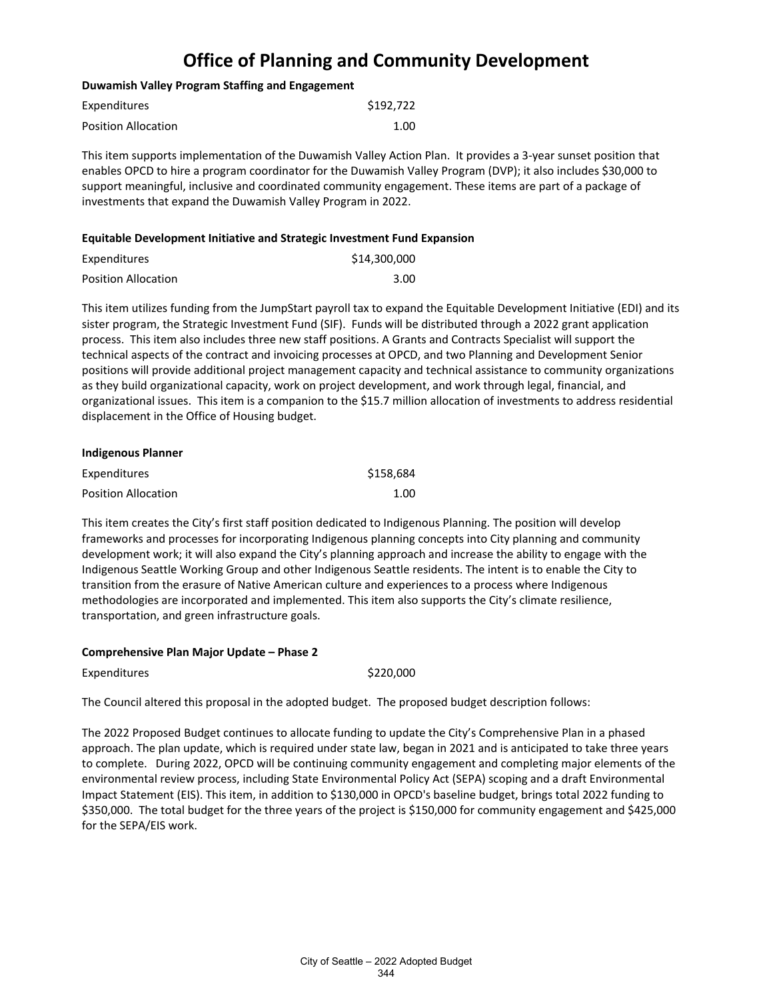#### **Duwamish Valley Program Staffing and Engagement**

| Expenditures        | \$192,722 |
|---------------------|-----------|
| Position Allocation | 1.00      |

This item supports implementation of the Duwamish Valley Action Plan. It provides a 3-year sunset position that enables OPCD to hire a program coordinator for the Duwamish Valley Program (DVP); it also includes \$30,000 to support meaningful, inclusive and coordinated community engagement. These items are part of a package of investments that expand the Duwamish Valley Program in 2022.

#### **Equitable Development Initiative and Strategic Investment Fund Expansion**

| Expenditures               | \$14,300,000 |
|----------------------------|--------------|
| <b>Position Allocation</b> | 3.00         |

This item utilizes funding from the JumpStart payroll tax to expand the Equitable Development Initiative (EDI) and its sister program, the Strategic Investment Fund (SIF). Funds will be distributed through a 2022 grant application process. This item also includes three new staff positions. A Grants and Contracts Specialist will support the technical aspects of the contract and invoicing processes at OPCD, and two Planning and Development Senior positions will provide additional project management capacity and technical assistance to community organizations as they build organizational capacity, work on project development, and work through legal, financial, and organizational issues. This item is a companion to the \$15.7 million allocation of investments to address residential displacement in the Office of Housing budget.

| Indigenous Planner  |           |
|---------------------|-----------|
| Expenditures        | \$158.684 |
| Position Allocation | 1.00      |

This item creates the City's first staff position dedicated to Indigenous Planning. The position will develop frameworks and processes for incorporating Indigenous planning concepts into City planning and community development work; it will also expand the City's planning approach and increase the ability to engage with the Indigenous Seattle Working Group and other Indigenous Seattle residents. The intent is to enable the City to transition from the erasure of Native American culture and experiences to a process where Indigenous methodologies are incorporated and implemented. This item also supports the City's climate resilience, transportation, and green infrastructure goals.

#### **Comprehensive Plan Major Update – Phase 2**

| Expenditures |  |
|--------------|--|
|--------------|--|

 $$220,000$ 

The Council altered this proposal in the adopted budget. The proposed budget description follows:

The 2022 Proposed Budget continues to allocate funding to update the City's Comprehensive Plan in a phased approach. The plan update, which is required under state law, began in 2021 and is anticipated to take three years to complete. During 2022, OPCD will be continuing community engagement and completing major elements of the environmental review process, including State Environmental Policy Act (SEPA) scoping and a draft Environmental Impact Statement (EIS). This item, in addition to \$130,000 in OPCD's baseline budget, brings total 2022 funding to \$350,000. The total budget for the three years of the project is \$150,000 for community engagement and \$425,000 for the SEPA/EIS work.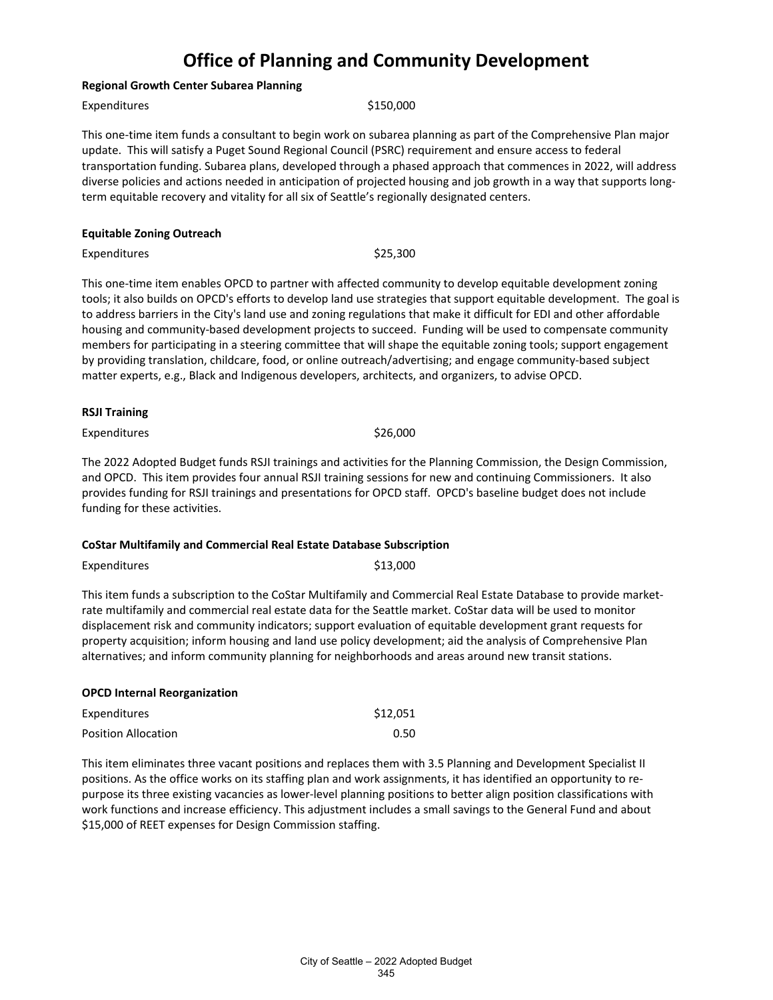#### **Regional Growth Center Subarea Planning**

Expenditures \$150,000

This one-time item funds a consultant to begin work on subarea planning as part of the Comprehensive Plan major update. This will satisfy a Puget Sound Regional Council (PSRC) requirement and ensure access to federal transportation funding. Subarea plans, developed through a phased approach that commences in 2022, will address diverse policies and actions needed in anticipation of projected housing and job growth in a way that supports longterm equitable recovery and vitality for all six of Seattle's regionally designated centers.

#### **Equitable Zoning Outreach**

Expenditures \$25,300

This one-time item enables OPCD to partner with affected community to develop equitable development zoning tools; it also builds on OPCD's efforts to develop land use strategies that support equitable development. The goal is to address barriers in the City's land use and zoning regulations that make it difficult for EDI and other affordable housing and community-based development projects to succeed. Funding will be used to compensate community members for participating in a steering committee that will shape the equitable zoning tools; support engagement by providing translation, childcare, food, or online outreach/advertising; and engage community-based subject matter experts, e.g., Black and Indigenous developers, architects, and organizers, to advise OPCD.

#### **RSJI Training**

Expenditures \$26,000

The 2022 Adopted Budget funds RSJI trainings and activities for the Planning Commission, the Design Commission, and OPCD. This item provides four annual RSJI training sessions for new and continuing Commissioners. It also provides funding for RSJI trainings and presentations for OPCD staff. OPCD's baseline budget does not include funding for these activities.

#### **CoStar Multifamily and Commercial Real Estate Database Subscription**

Expenditures \$13,000

This item funds a subscription to the CoStar Multifamily and Commercial Real Estate Database to provide marketrate multifamily and commercial real estate data for the Seattle market. CoStar data will be used to monitor displacement risk and community indicators; support evaluation of equitable development grant requests for property acquisition; inform housing and land use policy development; aid the analysis of Comprehensive Plan alternatives; and inform community planning for neighborhoods and areas around new transit stations.

### **OPCD Internal Reorganization** Expenditures \$12,051 Position Allocation **0.50**

This item eliminates three vacant positions and replaces them with 3.5 Planning and Development Specialist II positions. As the office works on its staffing plan and work assignments, it has identified an opportunity to repurpose its three existing vacancies as lower-level planning positions to better align position classifications with work functions and increase efficiency. This adjustment includes a small savings to the General Fund and about \$15,000 of REET expenses for Design Commission staffing.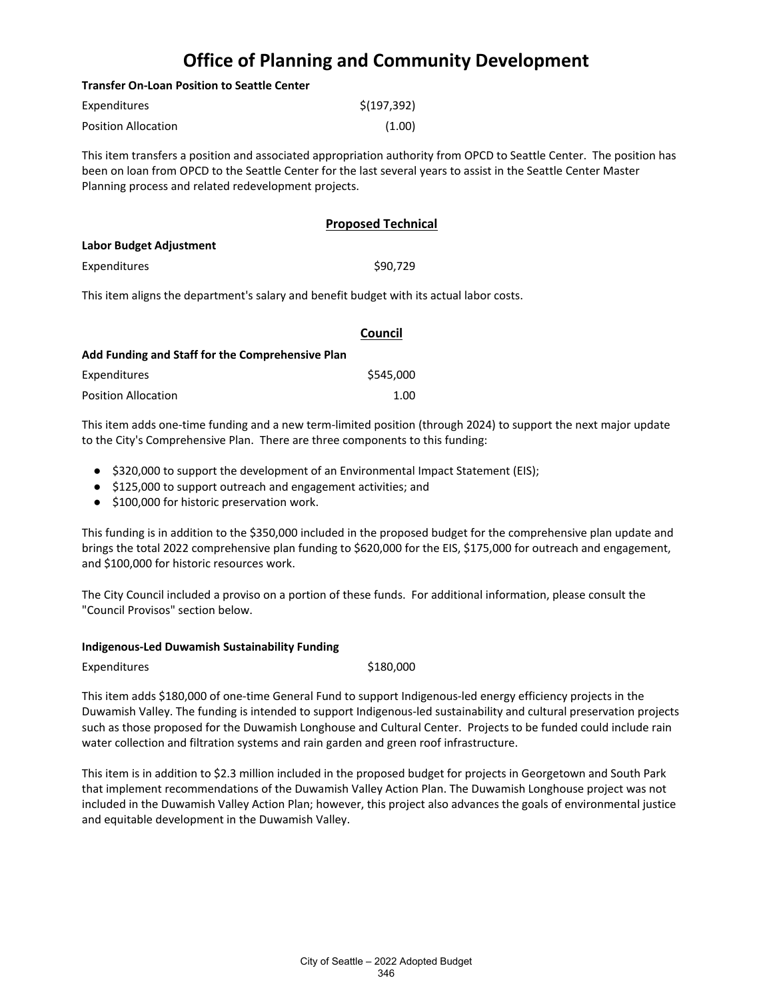#### **Transfer On-Loan Position to Seattle Center**

| Expenditures               | \$(197, 392) |
|----------------------------|--------------|
| <b>Position Allocation</b> | (1.00)       |

This item transfers a position and associated appropriation authority from OPCD to Seattle Center. The position has been on loan from OPCD to the Seattle Center for the last several years to assist in the Seattle Center Master Planning process and related redevelopment projects.

#### **Proposed Technical**

| Labor Budget Adjustment |          |
|-------------------------|----------|
| Expenditures            | \$90.729 |

This item aligns the department's salary and benefit budget with its actual labor costs.

|                                                  | Council   |  |
|--------------------------------------------------|-----------|--|
| Add Funding and Staff for the Comprehensive Plan |           |  |
| Expenditures                                     | \$545,000 |  |
| Position Allocation                              | 1.00      |  |

This item adds one-time funding and a new term-limited position (through 2024) to support the next major update to the City's Comprehensive Plan. There are three components to this funding:

- \$320,000 to support the development of an Environmental Impact Statement (EIS);
- \$125,000 to support outreach and engagement activities; and
- \$100,000 for historic preservation work.

This funding is in addition to the \$350,000 included in the proposed budget for the comprehensive plan update and brings the total 2022 comprehensive plan funding to \$620,000 for the EIS, \$175,000 for outreach and engagement, and \$100,000 for historic resources work.

The City Council included a proviso on a portion of these funds. For additional information, please consult the "Council Provisos" section below.

#### **Indigenous-Led Duwamish Sustainability Funding**

Expenditures \$180,000

This item adds \$180,000 of one-time General Fund to support Indigenous-led energy efficiency projects in the Duwamish Valley. The funding is intended to support Indigenous-led sustainability and cultural preservation projects such as those proposed for the Duwamish Longhouse and Cultural Center. Projects to be funded could include rain water collection and filtration systems and rain garden and green roof infrastructure.

This item is in addition to \$2.3 million included in the proposed budget for projects in Georgetown and South Park that implement recommendations of the Duwamish Valley Action Plan. The Duwamish Longhouse project was not included in the Duwamish Valley Action Plan; however, this project also advances the goals of environmental justice and equitable development in the Duwamish Valley.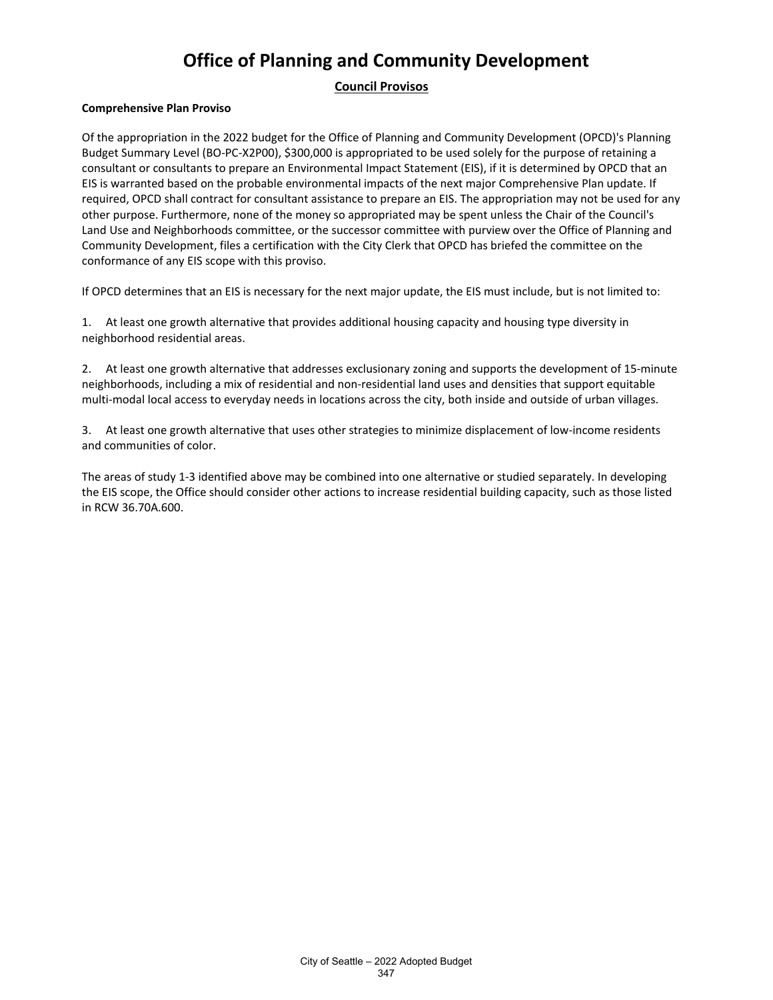#### **Council Provisos**

#### **Comprehensive Plan Proviso**

Of the appropriation in the 2022 budget for the Office of Planning and Community Development (OPCD)'s Planning Budget Summary Level (BO-PC-X2P00), \$300,000 is appropriated to be used solely for the purpose of retaining a consultant or consultants to prepare an Environmental Impact Statement (EIS), if it is determined by OPCD that an EIS is warranted based on the probable environmental impacts of the next major Comprehensive Plan update. If required, OPCD shall contract for consultant assistance to prepare an EIS. The appropriation may not be used for any other purpose. Furthermore, none of the money so appropriated may be spent unless the Chair of the Council's Land Use and Neighborhoods committee, or the successor committee with purview over the Office of Planning and Community Development, files a certification with the City Clerk that OPCD has briefed the committee on the conformance of any EIS scope with this proviso.

If OPCD determines that an EIS is necessary for the next major update, the EIS must include, but is not limited to:

1. At least one growth alternative that provides additional housing capacity and housing type diversity in neighborhood residential areas.

2. At least one growth alternative that addresses exclusionary zoning and supports the development of 15-minute neighborhoods, including a mix of residential and non-residential land uses and densities that support equitable multi-modal local access to everyday needs in locations across the city, both inside and outside of urban villages.

3. At least one growth alternative that uses other strategies to minimize displacement of low-income residents and communities of color.

The areas of study 1-3 identified above may be combined into one alternative or studied separately. In developing the EIS scope, the Office should consider other actions to increase residential building capacity, such as those listed in RCW 36.70A.600.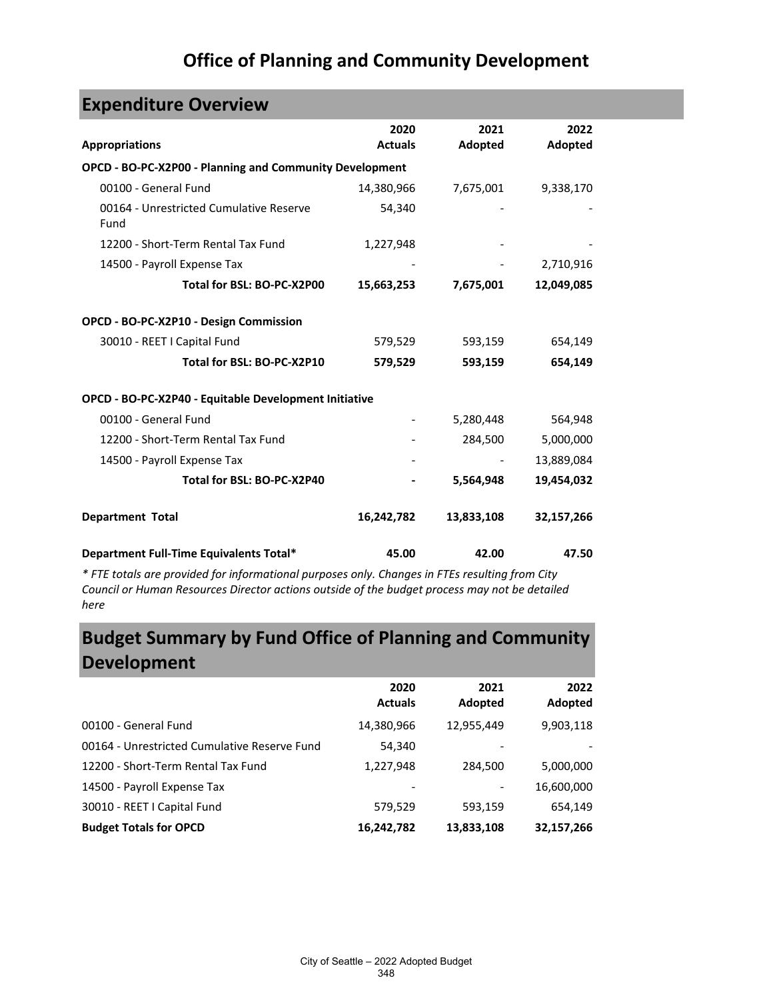| <b>Expenditure Overview</b>                             |                        |                 |                 |  |
|---------------------------------------------------------|------------------------|-----------------|-----------------|--|
| <b>Appropriations</b>                                   | 2020<br><b>Actuals</b> | 2021<br>Adopted | 2022<br>Adopted |  |
| OPCD - BO-PC-X2P00 - Planning and Community Development |                        |                 |                 |  |
| 00100 - General Fund                                    | 14,380,966             | 7,675,001       | 9,338,170       |  |
| 00164 - Unrestricted Cumulative Reserve<br>Fund         | 54,340                 |                 |                 |  |
| 12200 - Short-Term Rental Tax Fund                      | 1,227,948              |                 |                 |  |
| 14500 - Payroll Expense Tax                             |                        |                 | 2,710,916       |  |
| Total for BSL: BO-PC-X2P00                              | 15,663,253             | 7,675,001       | 12,049,085      |  |
| OPCD - BO-PC-X2P10 - Design Commission                  |                        |                 |                 |  |
| 30010 - REET I Capital Fund                             | 579,529                | 593,159         | 654,149         |  |
| Total for BSL: BO-PC-X2P10                              | 579,529                | 593,159         | 654,149         |  |
| OPCD - BO-PC-X2P40 - Equitable Development Initiative   |                        |                 |                 |  |
| 00100 - General Fund                                    |                        | 5,280,448       | 564,948         |  |
| 12200 - Short-Term Rental Tax Fund                      |                        | 284,500         | 5,000,000       |  |
| 14500 - Payroll Expense Tax                             |                        |                 | 13,889,084      |  |
| Total for BSL: BO-PC-X2P40                              |                        | 5,564,948       | 19,454,032      |  |
| <b>Department Total</b>                                 | 16,242,782             | 13,833,108      | 32,157,266      |  |
| Department Full-Time Equivalents Total*                 | 45.00                  | 42.00           | 47.50           |  |

*\* FTE totals are provided for informational purposes only. Changes in FTEs resulting from City Council or Human Resources Director actions outside of the budget process may not be detailed here*

# **Budget Summary by Fund Office of Planning and Community Development**

|                                              | 2020<br><b>Actuals</b> | 2021<br>Adopted | 2022<br>Adopted |
|----------------------------------------------|------------------------|-----------------|-----------------|
| 00100 - General Fund                         | 14,380,966             | 12,955,449      | 9,903,118       |
| 00164 - Unrestricted Cumulative Reserve Fund | 54,340                 |                 |                 |
| 12200 - Short-Term Rental Tax Fund           | 1,227,948              | 284,500         | 5,000,000       |
| 14500 - Payroll Expense Tax                  | -                      |                 | 16,600,000      |
| 30010 - REET I Capital Fund                  | 579,529                | 593,159         | 654,149         |
| <b>Budget Totals for OPCD</b>                | 16,242,782             | 13,833,108      | 32,157,266      |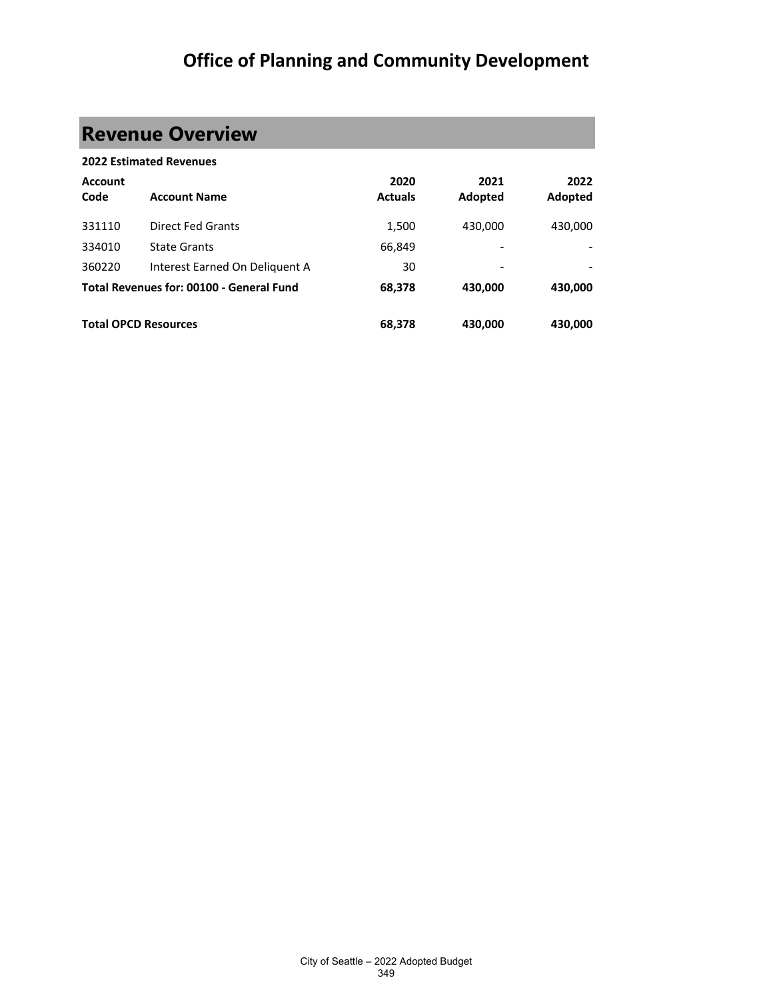# **Revenue Overview**

|                        | <b>2022 Estimated Revenues</b>           |                        |                 |                 |
|------------------------|------------------------------------------|------------------------|-----------------|-----------------|
| <b>Account</b><br>Code | <b>Account Name</b>                      | 2020<br><b>Actuals</b> | 2021<br>Adopted | 2022<br>Adopted |
| 331110                 | <b>Direct Fed Grants</b>                 | 1,500                  | 430,000         | 430,000         |
| 334010                 | <b>State Grants</b>                      | 66,849                 | -               |                 |
| 360220                 | Interest Earned On Deliguent A           | 30                     |                 |                 |
|                        | Total Revenues for: 00100 - General Fund | 68,378                 | 430,000         | 430,000         |
|                        | <b>Total OPCD Resources</b>              | 68,378                 | 430,000         | 430.000         |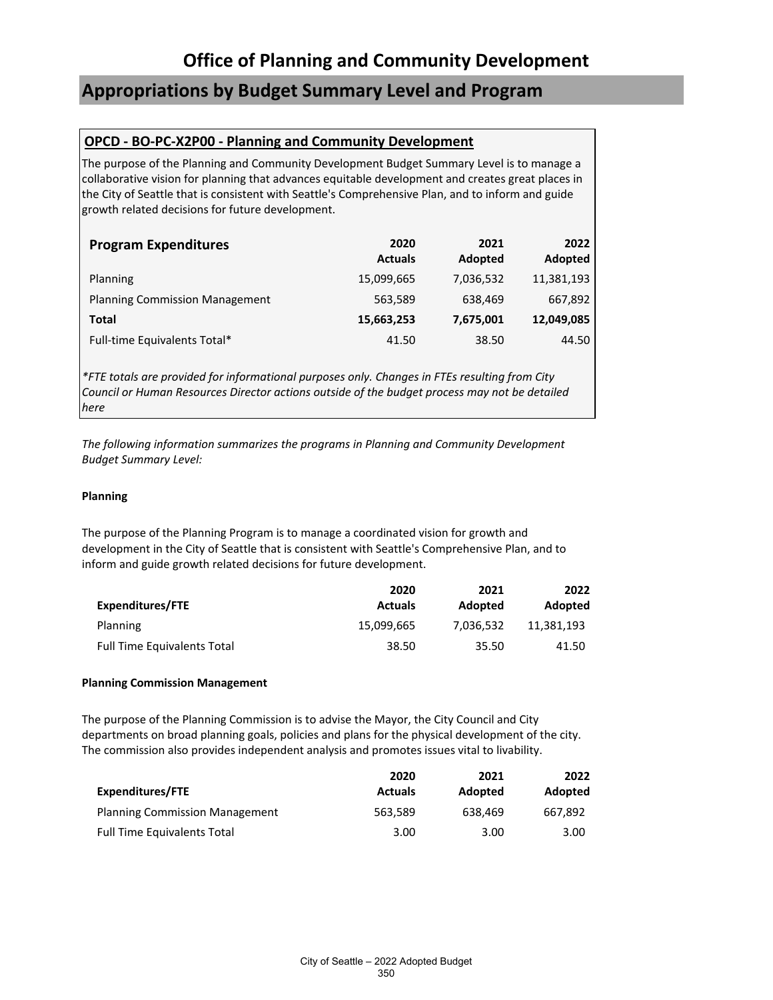### **Appropriations by Budget Summary Level and Program**

### **OPCD - BO-PC-X2P00 - Planning and Community Development**

The purpose of the Planning and Community Development Budget Summary Level is to manage a collaborative vision for planning that advances equitable development and creates great places in the City of Seattle that is consistent with Seattle's Comprehensive Plan, and to inform and guide growth related decisions for future development.

| <b>Program Expenditures</b>           | 2020<br><b>Actuals</b> | 2021<br>Adopted | 2022<br>Adopted |
|---------------------------------------|------------------------|-----------------|-----------------|
| Planning                              | 15,099,665             | 7,036,532       | 11,381,193      |
| <b>Planning Commission Management</b> | 563,589                | 638,469         | 667,892         |
| Total                                 | 15,663,253             | 7,675,001       | 12,049,085      |
| Full-time Equivalents Total*          | 41.50                  | 38.50           | 44.50           |

*\*FTE totals are provided for informational purposes only. Changes in FTEs resulting from City Council or Human Resources Director actions outside of the budget process may not be detailed here*

*The following information summarizes the programs in Planning and Community Development Budget Summary Level:*

#### **Planning**

The purpose of the Planning Program is to manage a coordinated vision for growth and development in the City of Seattle that is consistent with Seattle's Comprehensive Plan, and to inform and guide growth related decisions for future development.

|                                    | 2020           | 2021      | 2022       |
|------------------------------------|----------------|-----------|------------|
| <b>Expenditures/FTE</b>            | <b>Actuals</b> | Adopted   | Adopted    |
| Planning                           | 15,099,665     | 7.036.532 | 11.381.193 |
| <b>Full Time Equivalents Total</b> | 38.50          | 35.50     | 41.50      |

#### **Planning Commission Management**

The purpose of the Planning Commission is to advise the Mayor, the City Council and City departments on broad planning goals, policies and plans for the physical development of the city. The commission also provides independent analysis and promotes issues vital to livability.

|                                       | 2020           | 2021    | 2022    |
|---------------------------------------|----------------|---------|---------|
| Expenditures/FTE                      | <b>Actuals</b> | Adopted | Adopted |
| <b>Planning Commission Management</b> | 563.589        | 638.469 | 667.892 |
| <b>Full Time Equivalents Total</b>    | 3.00           | 3.00    | 3.00    |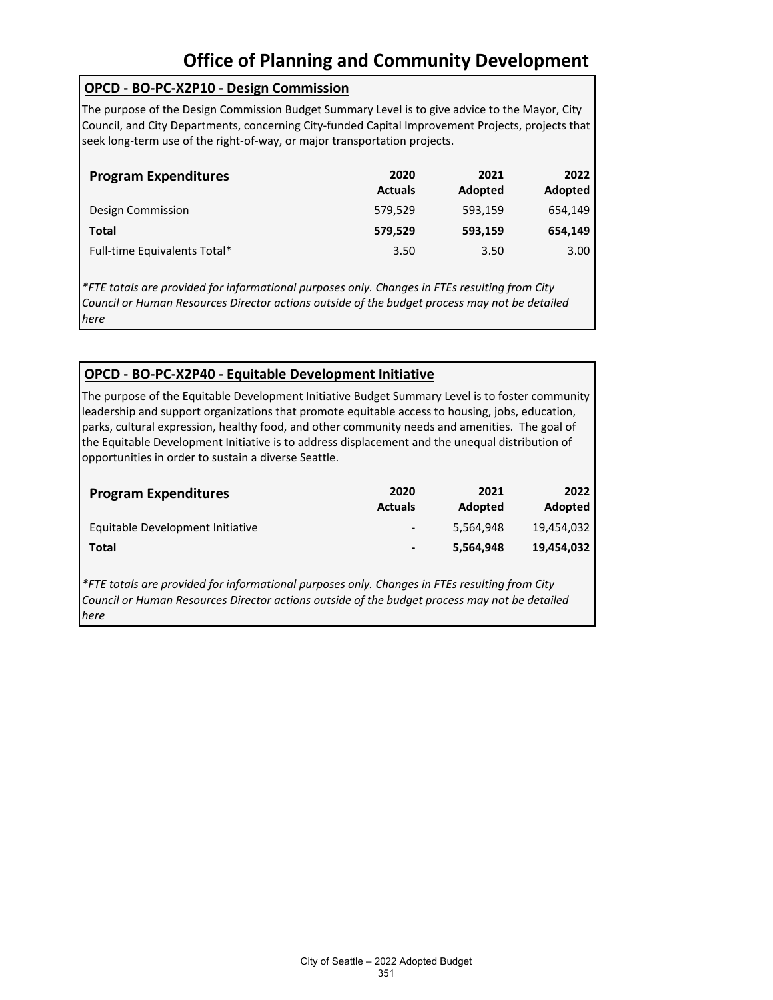### **OPCD - BO-PC-X2P10 - Design Commission**

The purpose of the Design Commission Budget Summary Level is to give advice to the Mayor, City Council, and City Departments, concerning City-funded Capital Improvement Projects, projects that seek long-term use of the right-of-way, or major transportation projects.

| <b>Program Expenditures</b>  | 2020<br><b>Actuals</b> | 2021<br>Adopted | 2022<br>Adopted |
|------------------------------|------------------------|-----------------|-----------------|
| Design Commission            | 579.529                | 593,159         | 654.149         |
| Total                        | 579,529                | 593,159         | 654.149         |
| Full-time Equivalents Total* | 3.50                   | 3.50            | 3.00            |

*\*FTE totals are provided for informational purposes only. Changes in FTEs resulting from City Council or Human Resources Director actions outside of the budget process may not be detailed here*

### **OPCD - BO-PC-X2P40 - Equitable Development Initiative**

The purpose of the Equitable Development Initiative Budget Summary Level is to foster community leadership and support organizations that promote equitable access to housing, jobs, education, parks, cultural expression, healthy food, and other community needs and amenities. The goal of the Equitable Development Initiative is to address displacement and the unequal distribution of opportunities in order to sustain a diverse Seattle.

| <b>Program Expenditures</b>      | 2020<br><b>Actuals</b>   | 2021<br>Adopted | 2022<br>Adopted |
|----------------------------------|--------------------------|-----------------|-----------------|
| Equitable Development Initiative | $\overline{\phantom{a}}$ | 5.564.948       | 19.454.032      |
| Total                            | $\blacksquare$           | 5.564.948       | 19,454,032      |

*\*FTE totals are provided for informational purposes only. Changes in FTEs resulting from City Council or Human Resources Director actions outside of the budget process may not be detailed here*